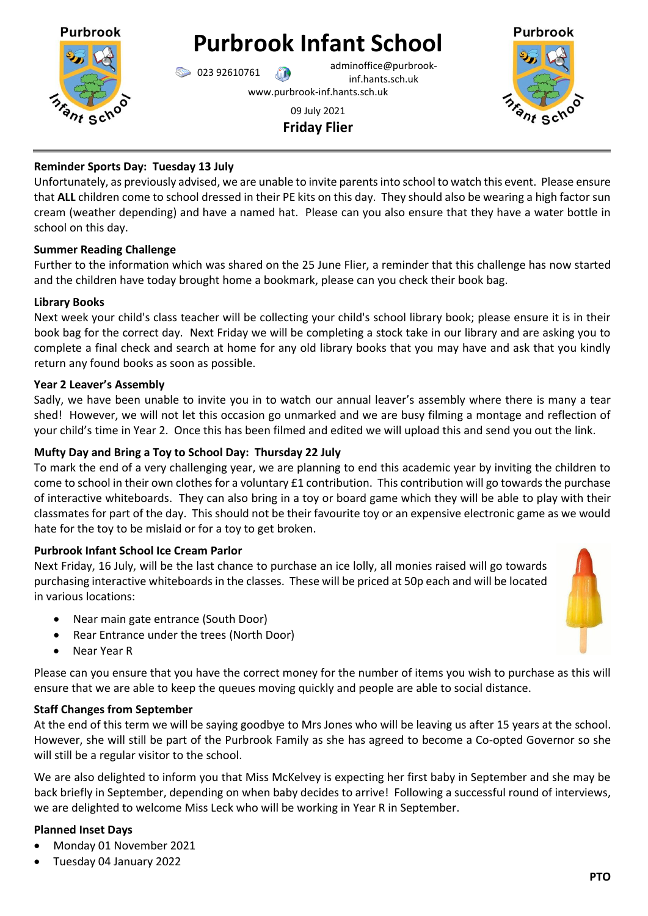

**Purbrook Infant School**

023 92610761 adminoffice@purbrookinf.hants.sch.uk

www.purbrook-inf.hants.sch.uk

# 09 July 2021 **Friday Flier**



## **Reminder Sports Day: Tuesday 13 July**

Unfortunately, as previously advised, we are unable to invite parents into school to watch this event. Please ensure that **ALL** children come to school dressed in their PE kits on this day. They should also be wearing a high factor sun cream (weather depending) and have a named hat. Please can you also ensure that they have a water bottle in school on this day.

## **Summer Reading Challenge**

Further to the information which was shared on the 25 June Flier, a reminder that this challenge has now started and the children have today brought home a bookmark, please can you check their book bag.

#### **Library Books**

Next week your child's class teacher will be collecting your child's school library book; please ensure it is in their book bag for the correct day. Next Friday we will be completing a stock take in our library and are asking you to complete a final check and search at home for any old library books that you may have and ask that you kindly return any found books as soon as possible.

#### **Year 2 Leaver's Assembly**

Sadly, we have been unable to invite you in to watch our annual leaver's assembly where there is many a tear shed! However, we will not let this occasion go unmarked and we are busy filming a montage and reflection of your child's time in Year 2. Once this has been filmed and edited we will upload this and send you out the link.

#### **Mufty Day and Bring a Toy to School Day: Thursday 22 July**

To mark the end of a very challenging year, we are planning to end this academic year by inviting the children to come to school in their own clothes for a voluntary £1 contribution. This contribution will go towards the purchase of interactive whiteboards. They can also bring in a toy or board game which they will be able to play with their classmates for part of the day. This should not be their favourite toy or an expensive electronic game as we would hate for the toy to be mislaid or for a toy to get broken.

## **Purbrook Infant School Ice Cream Parlor**

Next Friday, 16 July, will be the last chance to purchase an ice lolly, all monies raised will go towards purchasing interactive whiteboards in the classes. These will be priced at 50p each and will be located in various locations:

- Near main gate entrance (South Door)
- Rear Entrance under the trees (North Door)
- Near Year R

Please can you ensure that you have the correct money for the number of items you wish to purchase as this will ensure that we are able to keep the queues moving quickly and people are able to social distance.

## **Staff Changes from September**

At the end of this term we will be saying goodbye to Mrs Jones who will be leaving us after 15 years at the school. However, she will still be part of the Purbrook Family as she has agreed to become a Co-opted Governor so she will still be a regular visitor to the school.

We are also delighted to inform you that Miss McKelvey is expecting her first baby in September and she may be back briefly in September, depending on when baby decides to arrive! Following a successful round of interviews, we are delighted to welcome Miss Leck who will be working in Year R in September.

## **Planned Inset Days**

- Monday 01 November 2021
- Tuesday 04 January 2022